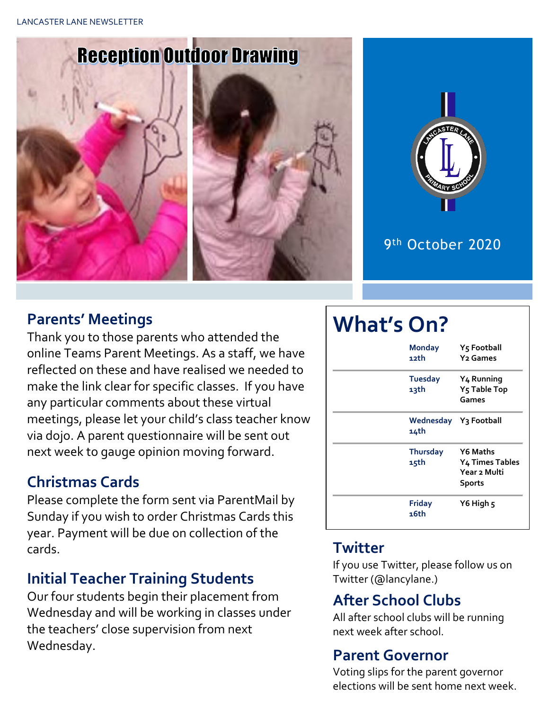# **Reception Outdoor Drawing**







# 9<sup>th</sup> October 2020

#### **Parents' Meetings**

Thank you to those parents who attended the online Teams Parent Meetings. As a staff, we have reflected on these and have realised we needed to make the link clear for specific classes. If you have any particular comments about these virtual meetings, please let your child's class teacher know via dojo. A parent questionnaire will be sent out next week to gauge opinion moving forward.

#### **Christmas Cards**

Please complete the form sent via ParentMail by Sunday if you wish to order Christmas Cards this year. Payment will be due on collection of the cards.

# **Initial Teacher Training Students**

Our four students begin their placement from Wednesday and will be working in classes under the teachers' close supervision from next Wednesday.

# **What's On?**

| <b>Monday</b><br>12th         | Y5 Football<br><b>Y<sub>2</sub></b> Games                    |  |  |
|-------------------------------|--------------------------------------------------------------|--|--|
| <b>Tuesday</b><br>13th        | Y <sub>4</sub> Running<br>Y <sub>5</sub> Table Top<br>Games  |  |  |
| Wednesday Y3 Football<br>14th |                                                              |  |  |
| <b>Thursday</b><br>15th       | Y6 Maths<br>Y4 Times Tables<br>Year 2 Multi<br><b>Sports</b> |  |  |
| <b>Friday</b><br>16th         | Y6 High 5                                                    |  |  |

#### **Twitter**

If you use Twitter, please follow us on Twitter (@lancylane.)

# **After School Clubs**

All after school clubs will be running next week after school.

# **Parent Governor**

Voting slips for the parent governor elections will be sent home next week.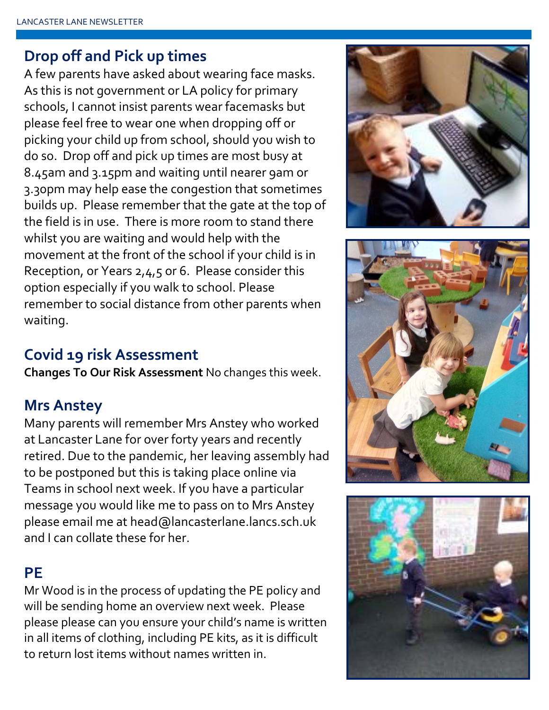#### **Drop off and Pick up times**

A few parents have asked about wearing face masks. As this is not government or LA policy for primary schools, I cannot insist parents wear facemasks but please feel free to wear one when dropping off or picking your child up from school, should you wish to do so. Drop off and pick up times are most busy at 8.45am and 3.15pm and waiting until nearer 9am or 3.30pm may help ease the congestion that sometimes builds up. Please remember that the gate at the top of the field is in use. There is more room to stand there whilst you are waiting and would help with the movement at the front of the school if your child is in Reception, or Years 2,4,5 or 6. Please consider this option especially if you walk to school. Please remember to social distance from other parents when waiting.

# **Covid 19 risk Assessment**

**Changes To Our Risk Assessment** No changes this week.

#### **Mrs Anstey**

Many parents will remember Mrs Anstey who worked at Lancaster Lane for over forty years and recently retired. Due to the pandemic, her leaving assembly had to be postponed but this is taking place online via Teams in school next week. If you have a particular message you would like me to pass on to Mrs Anstey please email me at head@lancasterlane.lancs.sch.uk and I can collate these for her.

#### **PE**

Mr Wood is in the process of updating the PE policy and will be sending home an overview next week. Please please please can you ensure your child's name is written in all items of clothing, including PE kits, as it is difficult to return lost items without names written in.